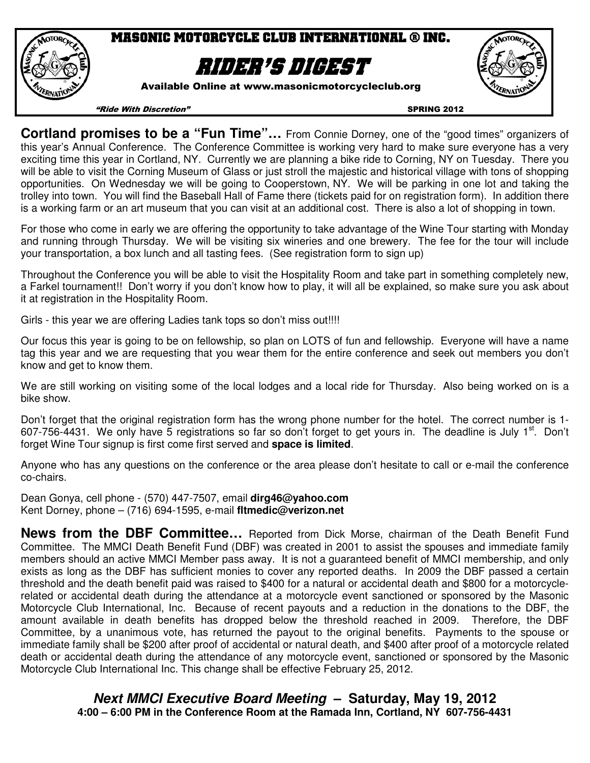

# Masonic Motorcycle club international ® inc.

# Rider's digest

Available Online at www.masonicmotorcycleclub.org



"Ride With Discretion" SPRING 2012

**Cortland promises to be a "Fun Time"…** From Connie Dorney, one of the "good times" organizers of this year's Annual Conference. The Conference Committee is working very hard to make sure everyone has a very exciting time this year in Cortland, NY. Currently we are planning a bike ride to Corning, NY on Tuesday. There you will be able to visit the Corning Museum of Glass or just stroll the majestic and historical village with tons of shopping opportunities. On Wednesday we will be going to Cooperstown, NY. We will be parking in one lot and taking the trolley into town. You will find the Baseball Hall of Fame there (tickets paid for on registration form). In addition there is a working farm or an art museum that you can visit at an additional cost. There is also a lot of shopping in town.

For those who come in early we are offering the opportunity to take advantage of the Wine Tour starting with Monday and running through Thursday. We will be visiting six wineries and one brewery. The fee for the tour will include your transportation, a box lunch and all tasting fees. (See registration form to sign up)

Throughout the Conference you will be able to visit the Hospitality Room and take part in something completely new, a Farkel tournament!! Don't worry if you don't know how to play, it will all be explained, so make sure you ask about it at registration in the Hospitality Room.

Girls - this year we are offering Ladies tank tops so don't miss out!!!!

Our focus this year is going to be on fellowship, so plan on LOTS of fun and fellowship. Everyone will have a name tag this year and we are requesting that you wear them for the entire conference and seek out members you don't know and get to know them.

We are still working on visiting some of the local lodges and a local ride for Thursday. Also being worked on is a bike show.

Don't forget that the original registration form has the wrong phone number for the hotel. The correct number is 1- 607-756-4431. We only have 5 registrations so far so don't forget to get yours in. The deadline is July 1<sup>st</sup>. Don't forget Wine Tour signup is first come first served and **space is limited**.

Anyone who has any questions on the conference or the area please don't hesitate to call or e-mail the conference co-chairs.

Dean Gonya, cell phone - (570) 447-7507, email **dirg46@yahoo.com** Kent Dorney, phone – (716) 694-1595, e-mail **fltmedic@verizon.net** 

**News from the DBF Committee…** Reported from Dick Morse, chairman of the Death Benefit Fund Committee. The MMCI Death Benefit Fund (DBF) was created in 2001 to assist the spouses and immediate family members should an active MMCI Member pass away. It is not a guaranteed benefit of MMCI membership, and only exists as long as the DBF has sufficient monies to cover any reported deaths. In 2009 the DBF passed a certain threshold and the death benefit paid was raised to \$400 for a natural or accidental death and \$800 for a motorcyclerelated or accidental death during the attendance at a motorcycle event sanctioned or sponsored by the Masonic Motorcycle Club International, Inc. Because of recent payouts and a reduction in the donations to the DBF, the amount available in death benefits has dropped below the threshold reached in 2009. Therefore, the DBF Committee, by a unanimous vote, has returned the payout to the original benefits. Payments to the spouse or immediate family shall be \$200 after proof of accidental or natural death, and \$400 after proof of a motorcycle related death or accidental death during the attendance of any motorcycle event, sanctioned or sponsored by the Masonic Motorcycle Club International Inc. This change shall be effective February 25, 2012.

> **Next MMCI Executive Board Meeting – Saturday, May 19, 2012 4:00 – 6:00 PM in the Conference Room at the Ramada Inn, Cortland, NY 607-756-4431**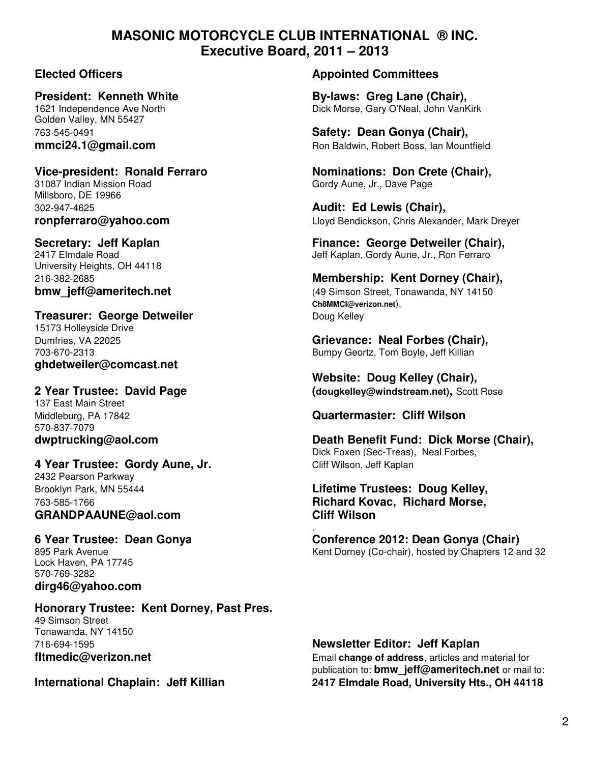# **MASONIC MOTORCYCLE CLUB INTERNATIONAL ® INC. Executive Board, 2011 – 2013**

Golden Valley, MN 55427

31087 Indian Mission Road Gordy Aune, Jr., Dave Page Millsboro, DE 19966 302-947-4625 **Audit: Ed Lewis (Chair),** 

University Heights, OH 44118

## **Treasurer: George Detweiler Communist Communist Communist Communist Communist Communist Communist Communist Communist Communist Communist Communist Communist Communist Communist Communist Communist Communist Communist C**

15173 Holleyside Drive **ghdetweiler@comcast.net** 

137 East Main Street 570-837-7079

# **4 Year Trustee: Gordy Aune, Jr. Cliff Wilson, Jeff Kaplan**

2432 Pearson Parkway **GRANDPAAUNE@aol.com Cliff Wilson** 

 . Lock Haven, PA 17745 570-769-3282 **dirg46@yahoo.com** 

## **Honorary Trustee: Kent Dorney, Past Pres.**  49 Simson Street Tonawanda, NY 14150 716-694-1595 **Newsletter Editor: Jeff Kaplan**

## **Elected Officers Appointed Committees**

**President: Kenneth White By-laws: Greg Lane (Chair), By-laws: Greg Lane (Chair), By-laws: Greg Lane (Chair),**  $\overline{1621}$  Independence Ave North Dick Morse, Gary O'Neal, John VanKirk

763-545-0491 **Safety: Dean Gonya (Chair), mmci24.1@gmail.com Ron Baldwin, Robert Boss, Ian Mountfield** 

**Vice-president: Ronald Ferraro Nominations: Don Crete (Chair),** 

**ronpferraro@yahoo.com Lloyd Bendickson, Chris Alexander, Mark Dreyer** 

**Secretary: Jeff Kaplan Finance: George Detweiler (Chair), Finance: George Detweiler (Chair), 2417 Elmdale Road** Jeff Kaplan, Gordy Aune, Jr., Ron Ferraro

216-382-2685 **Membership: Kent Dorney (Chair), bmw\_jeff@ameritech.net bmw\_jeff@ameritech.net 14150** (49 Simson Street, Tonawanda, NY 14150  **Ch8MMCI@verizon.net**),

Dumfries, VA 22025 **Grievance: Neal Forbes (Chair),**  703-670-2313 Bumpy Geortz, Tom Boyle, Jeff Killian

 **Website: Doug Kelley (Chair), 2 Year Trustee: David Page (dougkelley@windstream.net),** Scott Rose

## Middleburg, PA 17842 **Quartermaster: Cliff Wilson**

**dwptrucking@aol.com Death Benefit Fund: Dick Morse (Chair),**  Dick Foxen (Sec-Treas), Neal Forbes,

# Brooklyn Park, MN 55444 **Lifetime Trustees: Doug Kelley,**  763-585-1766 **Richard Kovac, Richard Morse,**

**6 Year Trustee: Dean Gonya Conference 2012: Dean Gonya (Chair)**<br> **6 Year Trustee: Dean Gonya Conference 2012: Dean Gonya (Chair)**<br>
Kent Dorney (Co-chair). hosted by Chapters 12 a Kent Dorney (Co-chair), hosted by Chapters 12 and 32

**fltmedic@verizon.net** Email change of address, articles and material for publication to: **bmw\_jeff@ameritech.net** or mail to: **International Chaplain: Jeff Killian 2417 Elmdale Road, University Hts., OH 44118**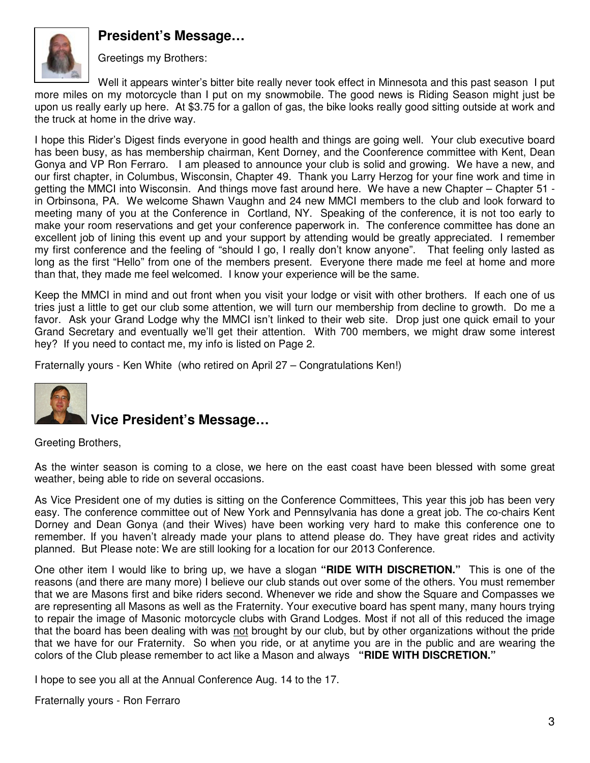# **President's Message…**



Greetings my Brothers:

Well it appears winter's bitter bite really never took effect in Minnesota and this past season I put more miles on my motorcycle than I put on my snowmobile. The good news is Riding Season might just be upon us really early up here. At \$3.75 for a gallon of gas, the bike looks really good sitting outside at work and the truck at home in the drive way.

I hope this Rider's Digest finds everyone in good health and things are going well. Your club executive board has been busy, as has membership chairman, Kent Dorney, and the Coonference committee with Kent, Dean Gonya and VP Ron Ferraro. I am pleased to announce your club is solid and growing. We have a new, and our first chapter, in Columbus, Wisconsin, Chapter 49. Thank you Larry Herzog for your fine work and time in getting the MMCI into Wisconsin. And things move fast around here. We have a new Chapter – Chapter 51 in Orbinsona, PA. We welcome Shawn Vaughn and 24 new MMCI members to the club and look forward to meeting many of you at the Conference in Cortland, NY. Speaking of the conference, it is not too early to make your room reservations and get your conference paperwork in. The conference committee has done an excellent job of lining this event up and your support by attending would be greatly appreciated. I remember my first conference and the feeling of "should I go, I really don't know anyone". That feeling only lasted as long as the first "Hello" from one of the members present. Everyone there made me feel at home and more than that, they made me feel welcomed. I know your experience will be the same.

Keep the MMCI in mind and out front when you visit your lodge or visit with other brothers. If each one of us tries just a little to get our club some attention, we will turn our membership from decline to growth. Do me a favor. Ask your Grand Lodge why the MMCI isn't linked to their web site. Drop just one quick email to your Grand Secretary and eventually we'll get their attention. With 700 members, we might draw some interest hey? If you need to contact me, my info is listed on Page 2.

Fraternally yours - Ken White (who retired on April 27 – Congratulations Ken!)



# **Vice President's Message…**

Greeting Brothers,

As the winter season is coming to a close, we here on the east coast have been blessed with some great weather, being able to ride on several occasions.

As Vice President one of my duties is sitting on the Conference Committees, This year this job has been very easy. The conference committee out of New York and Pennsylvania has done a great job. The co-chairs Kent Dorney and Dean Gonya (and their Wives) have been working very hard to make this conference one to remember. If you haven't already made your plans to attend please do. They have great rides and activity planned. But Please note: We are still looking for a location for our 2013 Conference.

One other item I would like to bring up, we have a slogan **"RIDE WITH DISCRETION."** This is one of the reasons (and there are many more) I believe our club stands out over some of the others. You must remember that we are Masons first and bike riders second. Whenever we ride and show the Square and Compasses we are representing all Masons as well as the Fraternity. Your executive board has spent many, many hours trying to repair the image of Masonic motorcycle clubs with Grand Lodges. Most if not all of this reduced the image that the board has been dealing with was not brought by our club, but by other organizations without the pride that we have for our Fraternity. So when you ride, or at anytime you are in the public and are wearing the colors of the Club please remember to act like a Mason and always **"RIDE WITH DISCRETION."**

I hope to see you all at the Annual Conference Aug. 14 to the 17.

Fraternally yours - Ron Ferraro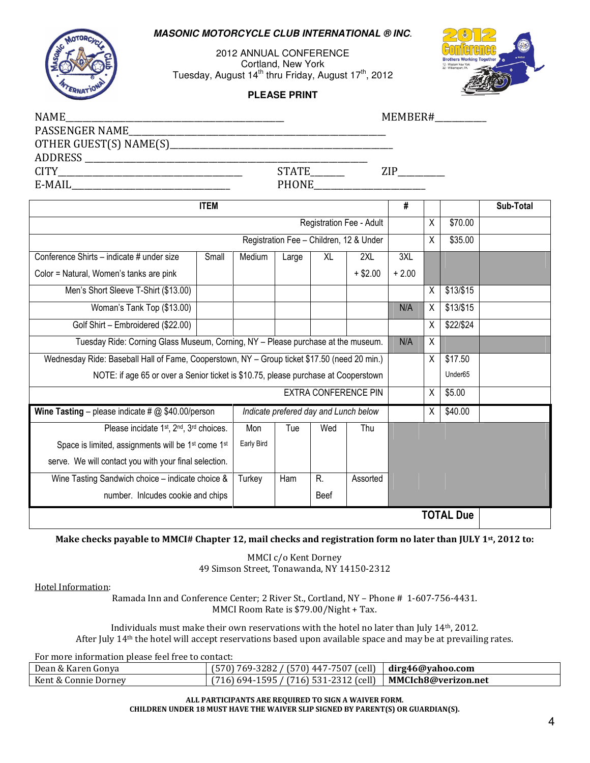### **MASONIC MOTORCYCLE CLUB INTERNATIONAL ® INC**.

2012 ANNUAL CONFERENCE Cortland, New York Tuesday, August  $14<sup>th</sup>$  thru Friday, August  $17<sup>th</sup>$ , 2012

**PLEASE PRINT**



| <b>NAME</b>                                                                                  |       |                                       |       |           |                                         |         |                | MEMBER#          |  |  |
|----------------------------------------------------------------------------------------------|-------|---------------------------------------|-------|-----------|-----------------------------------------|---------|----------------|------------------|--|--|
|                                                                                              |       |                                       |       |           |                                         |         |                |                  |  |  |
|                                                                                              |       |                                       |       |           |                                         |         |                |                  |  |  |
|                                                                                              |       |                                       |       |           |                                         |         |                |                  |  |  |
|                                                                                              |       | STATE_______                          |       |           |                                         | ZIP     |                |                  |  |  |
|                                                                                              |       |                                       |       |           | <b>PHONE</b>                            |         |                |                  |  |  |
| <b>ITEM</b>                                                                                  |       |                                       |       |           | $\overline{\#}$                         |         |                | Sub-Total        |  |  |
| Registration Fee - Adult                                                                     |       |                                       |       |           |                                         |         | X              | \$70.00          |  |  |
|                                                                                              |       |                                       |       |           | Registration Fee - Children, 12 & Under |         | X              | \$35.00          |  |  |
| Conference Shirts - indicate # under size                                                    | Small | Medium                                | Large | <b>XL</b> | 2XL                                     | 3XL     |                |                  |  |  |
| Color = Natural, Women's tanks are pink                                                      |       |                                       |       |           | $+$ \$2.00                              | $+2.00$ |                |                  |  |  |
| Men's Short Sleeve T-Shirt (\$13.00)                                                         |       |                                       |       |           |                                         |         | X              | \$13/\$15        |  |  |
| Woman's Tank Top (\$13.00)                                                                   |       |                                       |       |           |                                         | N/A     | Χ              | \$13/\$15        |  |  |
| Golf Shirt - Embroidered (\$22.00)                                                           |       |                                       |       |           |                                         |         | $\overline{X}$ | \$22/\$24        |  |  |
| Tuesday Ride: Corning Glass Museum, Corning, NY - Please purchase at the museum.             |       |                                       |       |           |                                         | N/A     | Χ              |                  |  |  |
| Wednesday Ride: Baseball Hall of Fame, Cooperstown, NY - Group ticket \$17.50 (need 20 min.) |       |                                       |       |           |                                         | X       | \$17.50        |                  |  |  |
| NOTE: if age 65 or over a Senior ticket is \$10.75, please purchase at Cooperstown           |       |                                       |       |           |                                         |         |                | Under65          |  |  |
| <b>EXTRA CONFERENCE PIN</b>                                                                  |       |                                       |       |           |                                         | X       | \$5.00         |                  |  |  |
| Wine Tasting - please indicate # $@$ \$40.00/person                                          |       | Indicate prefered day and Lunch below |       |           |                                         |         | X              | \$40.00          |  |  |
| Please incidate 1st, 2nd, 3rd choices.                                                       |       | Mon                                   | Tue   | Wed       | Thu                                     |         |                |                  |  |  |
| Space is limited, assignments will be 1 <sup>st</sup> come 1 <sup>st</sup>                   |       | Early Bird                            |       |           |                                         |         |                |                  |  |  |
| serve. We will contact you with your final selection.                                        |       |                                       |       |           |                                         |         |                |                  |  |  |
| Wine Tasting Sandwich choice - indicate choice &                                             |       | Turkey                                | Ham   | R.        | Assorted                                |         |                |                  |  |  |
| number. Inlcudes cookie and chips                                                            |       |                                       |       | Beef      |                                         |         |                |                  |  |  |
|                                                                                              |       |                                       |       |           |                                         |         |                | <b>TOTAL Due</b> |  |  |

### Make checks payable to MMCI# Chapter 12, mail checks and registration form no later than JULY 1<sup>st</sup>, 2012 to:

MMCI c/o Kent Dorney 49 Simson Street, Tonawanda, NY 14150-2312

### Hotel Information:

Ramada Inn and Conference Center; 2 River St., Cortland, NY – Phone # 1-607-756-4431. MMCI Room Rate is \$79.00/Night + Tax.

Individuals must make their own reservations with the hotel no later than July 14th, 2012. After July 14th the hotel will accept reservations based upon available space and may be at prevailing rates.

For more information please feel free to contact:

| Dean & Karen Gonya   | $(570)$ 447-7507 (cell) $\vert$ dirg46@yahoo.com<br>769-3282 /<br>1570). |                     |
|----------------------|--------------------------------------------------------------------------|---------------------|
| Kent & Connie Dorney | (716) 531-2312 (cell)<br>) 694-1595 /<br>$716$ .                         | MMCIch8@verizon.net |

ALL PARTICIPANTS ARE REQUIRED TO SIGN A WAIVER FORM. CHILDREN UNDER 18 MUST HAVE THE WAIVER SLIP SIGNED BY PARENT(S) OR GUARDIAN(S).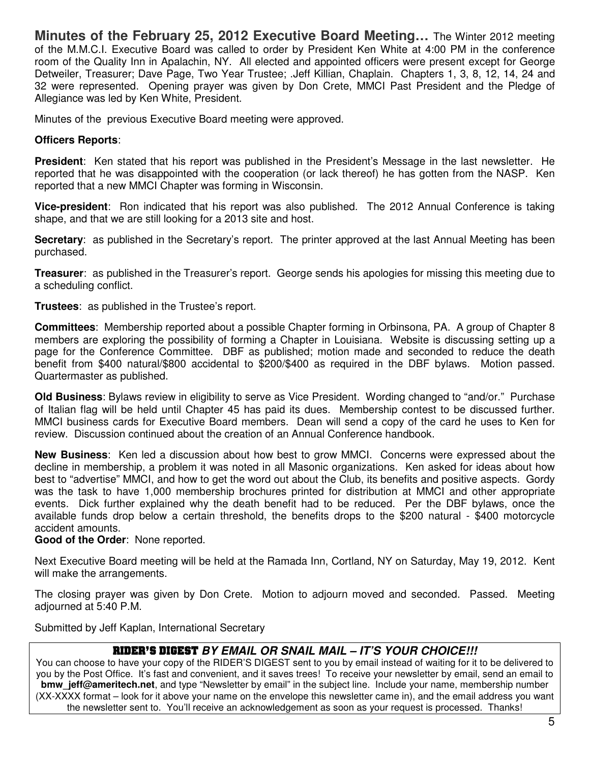**Minutes of the February 25, 2012 Executive Board Meeting…** The Winter 2012 meeting of the M.M.C.I. Executive Board was called to order by President Ken White at 4:00 PM in the conference room of the Quality Inn in Apalachin, NY. All elected and appointed officers were present except for George Detweiler, Treasurer; Dave Page, Two Year Trustee; .Jeff Killian, Chaplain. Chapters 1, 3, 8, 12, 14, 24 and 32 were represented. Opening prayer was given by Don Crete, MMCI Past President and the Pledge of Allegiance was led by Ken White, President.

Minutes of the previous Executive Board meeting were approved.

## **Officers Reports**:

**President**: Ken stated that his report was published in the President's Message in the last newsletter. He reported that he was disappointed with the cooperation (or lack thereof) he has gotten from the NASP. Ken reported that a new MMCI Chapter was forming in Wisconsin.

**Vice-president**: Ron indicated that his report was also published. The 2012 Annual Conference is taking shape, and that we are still looking for a 2013 site and host.

**Secretary:** as published in the Secretary's report. The printer approved at the last Annual Meeting has been purchased.

**Treasurer**: as published in the Treasurer's report. George sends his apologies for missing this meeting due to a scheduling conflict.

**Trustees**: as published in the Trustee's report.

**Committees**: Membership reported about a possible Chapter forming in Orbinsona, PA. A group of Chapter 8 members are exploring the possibility of forming a Chapter in Louisiana. Website is discussing setting up a page for the Conference Committee. DBF as published; motion made and seconded to reduce the death benefit from \$400 natural/\$800 accidental to \$200/\$400 as required in the DBF bylaws. Motion passed. Quartermaster as published.

**Old Business**: Bylaws review in eligibility to serve as Vice President. Wording changed to "and/or." Purchase of Italian flag will be held until Chapter 45 has paid its dues. Membership contest to be discussed further. MMCI business cards for Executive Board members. Dean will send a copy of the card he uses to Ken for review. Discussion continued about the creation of an Annual Conference handbook.

**New Business**: Ken led a discussion about how best to grow MMCI. Concerns were expressed about the decline in membership, a problem it was noted in all Masonic organizations. Ken asked for ideas about how best to "advertise" MMCI, and how to get the word out about the Club, its benefits and positive aspects. Gordy was the task to have 1,000 membership brochures printed for distribution at MMCI and other appropriate events. Dick further explained why the death benefit had to be reduced. Per the DBF bylaws, once the available funds drop below a certain threshold, the benefits drops to the \$200 natural - \$400 motorcycle accident amounts.

**Good of the Order**: None reported.

Next Executive Board meeting will be held at the Ramada Inn, Cortland, NY on Saturday, May 19, 2012. Kent will make the arrangements.

The closing prayer was given by Don Crete. Motion to adjourn moved and seconded. Passed. Meeting adjourned at 5:40 P.M.

Submitted by Jeff Kaplan, International Secretary

## RIDER'S DIGEST **BY EMAIL OR SNAIL MAIL – IT'S YOUR CHOICE!!!**

You can choose to have your copy of the RIDER'S DIGEST sent to you by email instead of waiting for it to be delivered to you by the Post Office. It's fast and convenient, and it saves trees! To receive your newsletter by email, send an email to **bmw** jeff@ameritech.net, and type "Newsletter by email" in the subject line. Include your name, membership number (XX-XXXX format – look for it above your name on the envelope this newsletter came in), and the email address you want the newsletter sent to. You'll receive an acknowledgement as soon as your request is processed. Thanks!